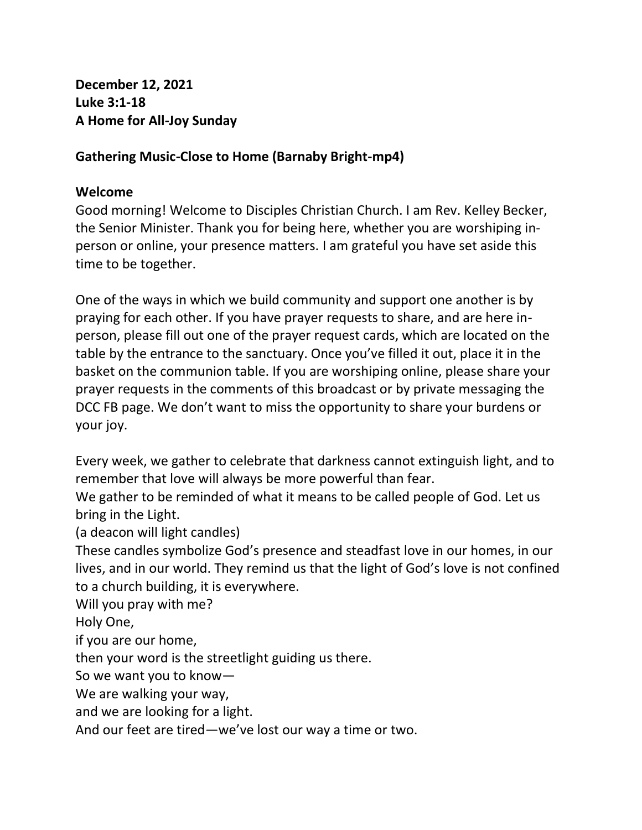**December 12, 2021 Luke 3:1-18 A Home for All-Joy Sunday**

### **Gathering Music-Close to Home (Barnaby Bright-mp4)**

#### **Welcome**

Good morning! Welcome to Disciples Christian Church. I am Rev. Kelley Becker, the Senior Minister. Thank you for being here, whether you are worshiping inperson or online, your presence matters. I am grateful you have set aside this time to be together.

One of the ways in which we build community and support one another is by praying for each other. If you have prayer requests to share, and are here inperson, please fill out one of the prayer request cards, which are located on the table by the entrance to the sanctuary. Once you've filled it out, place it in the basket on the communion table. If you are worshiping online, please share your prayer requests in the comments of this broadcast or by private messaging the DCC FB page. We don't want to miss the opportunity to share your burdens or your joy.

Every week, we gather to celebrate that darkness cannot extinguish light, and to remember that love will always be more powerful than fear.

We gather to be reminded of what it means to be called people of God. Let us bring in the Light.

(a deacon will light candles)

These candles symbolize God's presence and steadfast love in our homes, in our lives, and in our world. They remind us that the light of God's love is not confined to a church building, it is everywhere.

Will you pray with me?

Holy One,

if you are our home,

then your word is the streetlight guiding us there.

So we want you to know—

We are walking your way,

and we are looking for a light.

And our feet are tired—we've lost our way a time or two.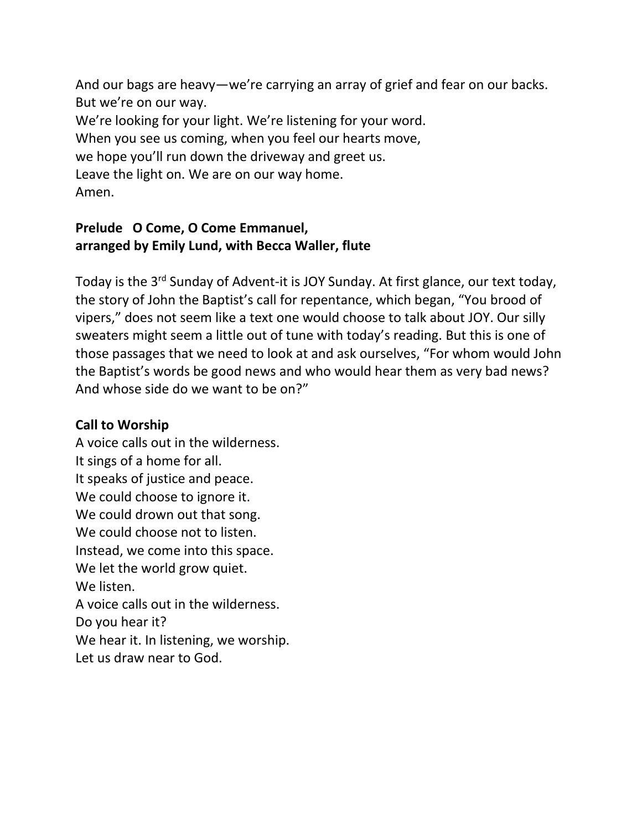And our bags are heavy—we're carrying an array of grief and fear on our backs. But we're on our way. We're looking for your light. We're listening for your word. When you see us coming, when you feel our hearts move, we hope you'll run down the driveway and greet us. Leave the light on. We are on our way home. Amen.

### **Prelude O Come, O Come Emmanuel, arranged by Emily Lund, with Becca Waller, flute**

Today is the 3rd Sunday of Advent-it is JOY Sunday. At first glance, our text today, the story of John the Baptist's call for repentance, which began, "You brood of vipers," does not seem like a text one would choose to talk about JOY. Our silly sweaters might seem a little out of tune with today's reading. But this is one of those passages that we need to look at and ask ourselves, "For whom would John the Baptist's words be good news and who would hear them as very bad news? And whose side do we want to be on?"

# **Call to Worship**

A voice calls out in the wilderness. It sings of a home for all. It speaks of justice and peace. We could choose to ignore it. We could drown out that song. We could choose not to listen. Instead, we come into this space. We let the world grow quiet. We listen. A voice calls out in the wilderness. Do you hear it? We hear it. In listening, we worship.

Let us draw near to God.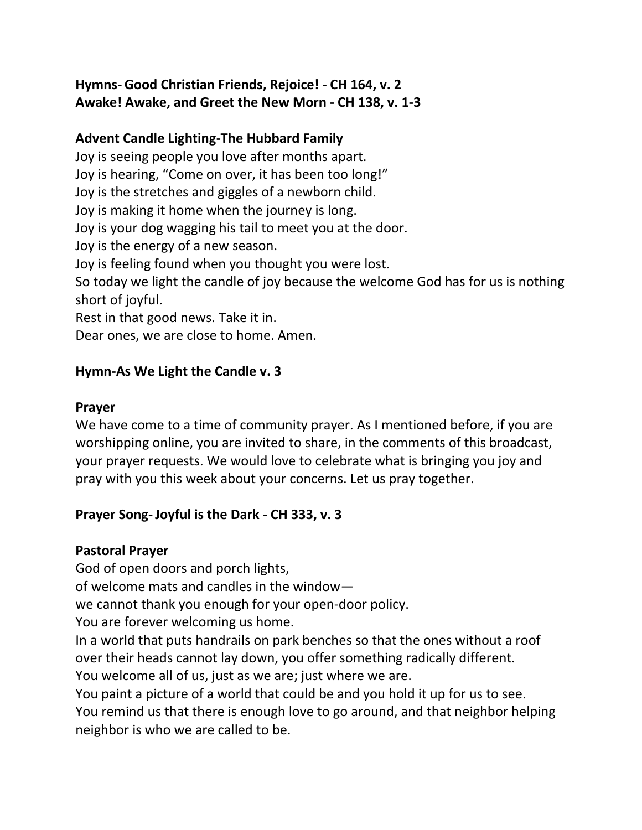## **Hymns- Good Christian Friends, Rejoice! - CH 164, v. 2 Awake! Awake, and Greet the New Morn - CH 138, v. 1-3**

### **Advent Candle Lighting-The Hubbard Family**

Joy is seeing people you love after months apart. Joy is hearing, "Come on over, it has been too long!" Joy is the stretches and giggles of a newborn child. Joy is making it home when the journey is long. Joy is your dog wagging his tail to meet you at the door. Joy is the energy of a new season. Joy is feeling found when you thought you were lost. So today we light the candle of joy because the welcome God has for us is nothing short of joyful. Rest in that good news. Take it in. Dear ones, we are close to home. Amen.

### **Hymn-As We Light the Candle v. 3**

#### **Prayer**

We have come to a time of community prayer. As I mentioned before, if you are worshipping online, you are invited to share, in the comments of this broadcast, your prayer requests. We would love to celebrate what is bringing you joy and pray with you this week about your concerns. Let us pray together.

## **Prayer Song-Joyful is the Dark - CH 333, v. 3**

#### **Pastoral Prayer**

God of open doors and porch lights,

of welcome mats and candles in the window—

we cannot thank you enough for your open-door policy.

You are forever welcoming us home.

In a world that puts handrails on park benches so that the ones without a roof over their heads cannot lay down, you offer something radically different.

You welcome all of us, just as we are; just where we are.

You paint a picture of a world that could be and you hold it up for us to see. You remind us that there is enough love to go around, and that neighbor helping neighbor is who we are called to be.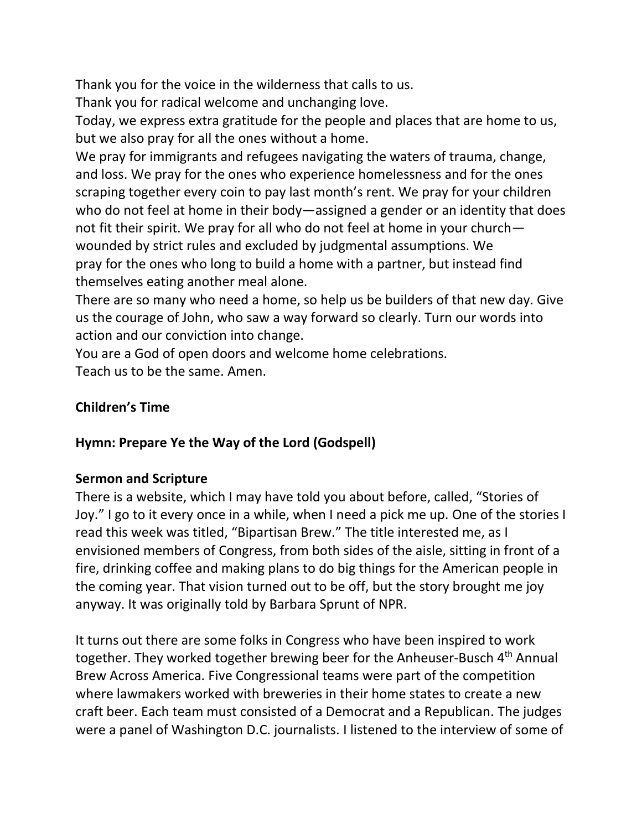Thank you for the voice in the wilderness that calls to us.

Thank you for radical welcome and unchanging love.

Today, we express extra gratitude for the people and places that are home to us, but we also pray for all the ones without a home.

We pray for immigrants and refugees navigating the waters of trauma, change, and loss. We pray for the ones who experience homelessness and for the ones scraping together every coin to pay last month's rent. We pray for your children who do not feel at home in their body—assigned a gender or an identity that does not fit their spirit. We pray for all who do not feel at home in your church wounded by strict rules and excluded by judgmental assumptions. We pray for the ones who long to build a home with a partner, but instead find themselves eating another meal alone.

There are so many who need a home, so help us be builders of that new day. Give us the courage of John, who saw a way forward so clearly. Turn our words into action and our conviction into change.

You are a God of open doors and welcome home celebrations. Teach us to be the same. Amen.

## **Children's Time**

## **Hymn: Prepare Ye the Way of the Lord (Godspell)**

## **Sermon and Scripture**

There is a website, which I may have told you about before, called, "Stories of Joy." I go to it every once in a while, when I need a pick me up. One of the stories I read this week was titled, "Bipartisan Brew." The title interested me, as I envisioned members of Congress, from both sides of the aisle, sitting in front of a fire, drinking coffee and making plans to do big things for the American people in the coming year. That vision turned out to be off, but the story brought me joy anyway. It was originally told by Barbara Sprunt of NPR.

It turns out there are some folks in Congress who have been inspired to work together. They worked together brewing beer for the Anheuser-Busch 4<sup>th</sup> Annual Brew Across America. Five Congressional teams were part of the competition where lawmakers worked with breweries in their home states to create a new craft beer. Each team must consisted of a Democrat and a Republican. The judges were a panel of Washington D.C. journalists. I listened to the interview of some of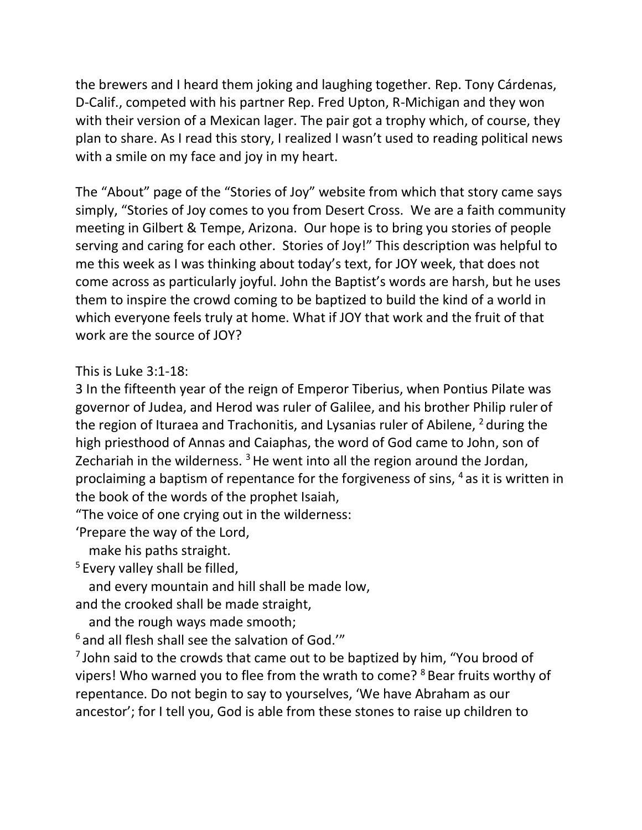the brewers and I heard them joking and laughing together. Rep. Tony Cárdenas, D-Calif., competed with his partner Rep. Fred Upton, R-Michigan and they won with their version of a Mexican lager. The pair got a trophy which, of course, they plan to share. As I read this story, I realized I wasn't used to reading political news with a smile on my face and joy in my heart.

The "About" page of the "Stories of Joy" website from which that story came says simply, "Stories of Joy comes to you from Desert Cross. We are a faith community meeting in Gilbert & Tempe, Arizona. Our hope is to bring you stories of people serving and caring for each other. Stories of Joy!" This description was helpful to me this week as I was thinking about today's text, for JOY week, that does not come across as particularly joyful. John the Baptist's words are harsh, but he uses them to inspire the crowd coming to be baptized to build the kind of a world in which everyone feels truly at home. What if JOY that work and the fruit of that work are the source of JOY?

This is Luke 3:1-18:

3 In the fifteenth year of the reign of Emperor Tiberius, when Pontius Pilate was governor of Judea, and Herod was ruler of Galilee, and his brother Philip ruler of the region of Ituraea and Trachonitis, and Lysanias ruler of Abilene,  $2$  during the high priesthood of Annas and Caiaphas, the word of God came to John, son of Zechariah in the wilderness.  $3$  He went into all the region around the Jordan, proclaiming a baptism of repentance for the forgiveness of sins,  $4$  as it is written in the book of the words of the prophet Isaiah,

"The voice of one crying out in the wilderness:

'Prepare the way of the Lord,

make his paths straight.

<sup>5</sup> Every valley shall be filled,

 and every mountain and hill shall be made low, and the crooked shall be made straight,

and the rough ways made smooth;

 $6$  and all flesh shall see the salvation of God."

<sup>7</sup> John said to the crowds that came out to be baptized by him, "You brood of vipers! Who warned you to flee from the wrath to come? <sup>8</sup> Bear fruits worthy of repentance. Do not begin to say to yourselves, 'We have Abraham as our ancestor'; for I tell you, God is able from these stones to raise up children to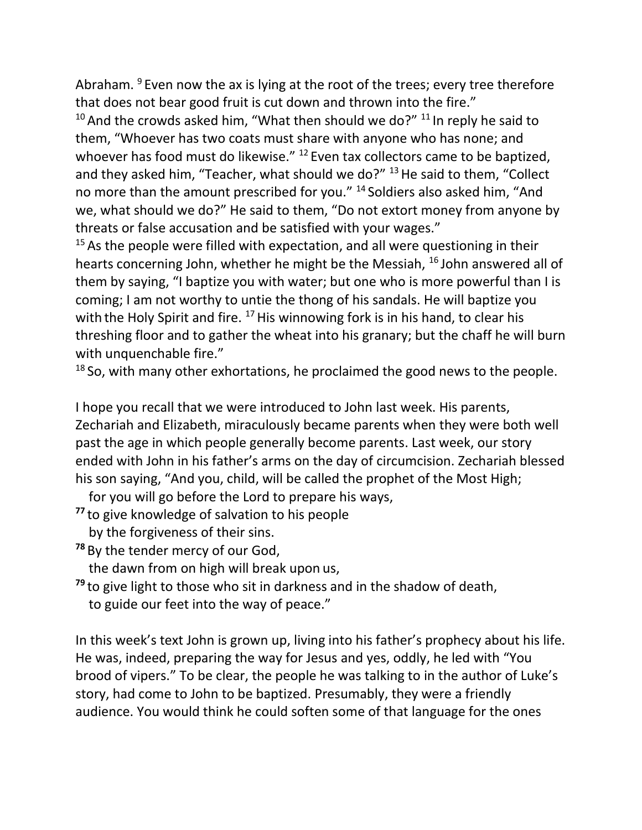Abraham. <sup>9</sup> Even now the ax is lying at the root of the trees; every tree therefore that does not bear good fruit is cut down and thrown into the fire."

 $10$  And the crowds asked him, "What then should we do?"  $11$  In reply he said to them, "Whoever has two coats must share with anyone who has none; and whoever has food must do likewise." <sup>12</sup> Even tax collectors came to be baptized, and they asked him, "Teacher, what should we do?"  $13$  He said to them, "Collect no more than the amount prescribed for you." <sup>14</sup> Soldiers also asked him, "And we, what should we do?" He said to them, "Do not extort money from anyone by threats or false accusation and be satisfied with your wages."

 $15$  As the people were filled with expectation, and all were questioning in their hearts concerning John, whether he might be the Messiah, <sup>16</sup> John answered all of them by saying, "I baptize you with water; but one who is more powerful than I is coming; I am not worthy to untie the thong of his sandals. He will baptize you with the Holy Spirit and fire.  $17$  His winnowing fork is in his hand, to clear his threshing floor and to gather the wheat into his granary; but the chaff he will burn with unquenchable fire."

 $18$  So, with many other exhortations, he proclaimed the good news to the people.

I hope you recall that we were introduced to John last week. His parents, Zechariah and Elizabeth, miraculously became parents when they were both well past the age in which people generally become parents. Last week, our story ended with John in his father's arms on the day of circumcision. Zechariah blessed his son saying, "And you, child, will be called the prophet of the Most High;

for you will go before the Lord to prepare his ways,

**<sup>77</sup>** to give knowledge of salvation to his people

by the forgiveness of their sins.

**<sup>78</sup>** By the tender mercy of our God,

the dawn from on high will break upon us,

**<sup>79</sup>** to give light to those who sit in darkness and in the shadow of death, to guide our feet into the way of peace."

In this week's text John is grown up, living into his father's prophecy about his life. He was, indeed, preparing the way for Jesus and yes, oddly, he led with "You brood of vipers." To be clear, the people he was talking to in the author of Luke's story, had come to John to be baptized. Presumably, they were a friendly audience. You would think he could soften some of that language for the ones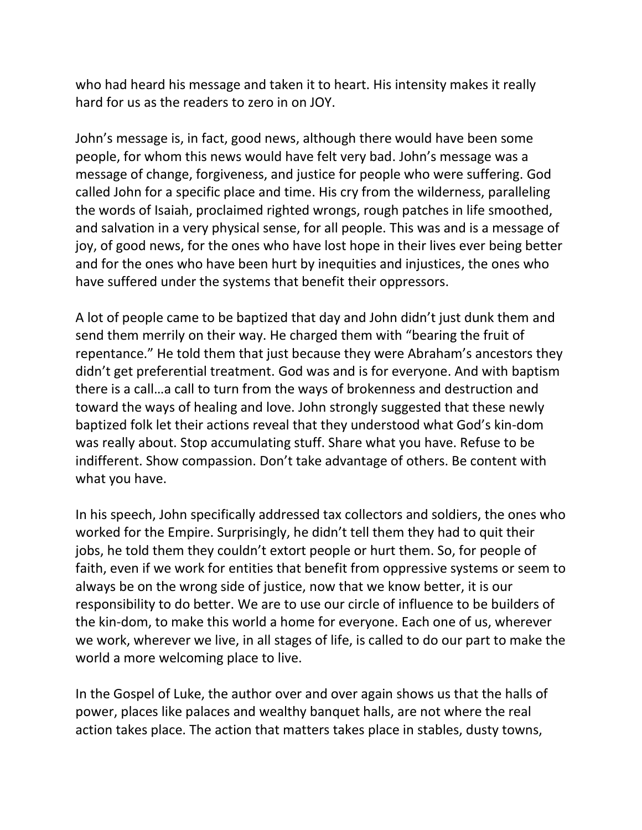who had heard his message and taken it to heart. His intensity makes it really hard for us as the readers to zero in on JOY.

John's message is, in fact, good news, although there would have been some people, for whom this news would have felt very bad. John's message was a message of change, forgiveness, and justice for people who were suffering. God called John for a specific place and time. His cry from the wilderness, paralleling the words of Isaiah, proclaimed righted wrongs, rough patches in life smoothed, and salvation in a very physical sense, for all people. This was and is a message of joy, of good news, for the ones who have lost hope in their lives ever being better and for the ones who have been hurt by inequities and injustices, the ones who have suffered under the systems that benefit their oppressors.

A lot of people came to be baptized that day and John didn't just dunk them and send them merrily on their way. He charged them with "bearing the fruit of repentance." He told them that just because they were Abraham's ancestors they didn't get preferential treatment. God was and is for everyone. And with baptism there is a call…a call to turn from the ways of brokenness and destruction and toward the ways of healing and love. John strongly suggested that these newly baptized folk let their actions reveal that they understood what God's kin-dom was really about. Stop accumulating stuff. Share what you have. Refuse to be indifferent. Show compassion. Don't take advantage of others. Be content with what you have.

In his speech, John specifically addressed tax collectors and soldiers, the ones who worked for the Empire. Surprisingly, he didn't tell them they had to quit their jobs, he told them they couldn't extort people or hurt them. So, for people of faith, even if we work for entities that benefit from oppressive systems or seem to always be on the wrong side of justice, now that we know better, it is our responsibility to do better. We are to use our circle of influence to be builders of the kin-dom, to make this world a home for everyone. Each one of us, wherever we work, wherever we live, in all stages of life, is called to do our part to make the world a more welcoming place to live.

In the Gospel of Luke, the author over and over again shows us that the halls of power, places like palaces and wealthy banquet halls, are not where the real action takes place. The action that matters takes place in stables, dusty towns,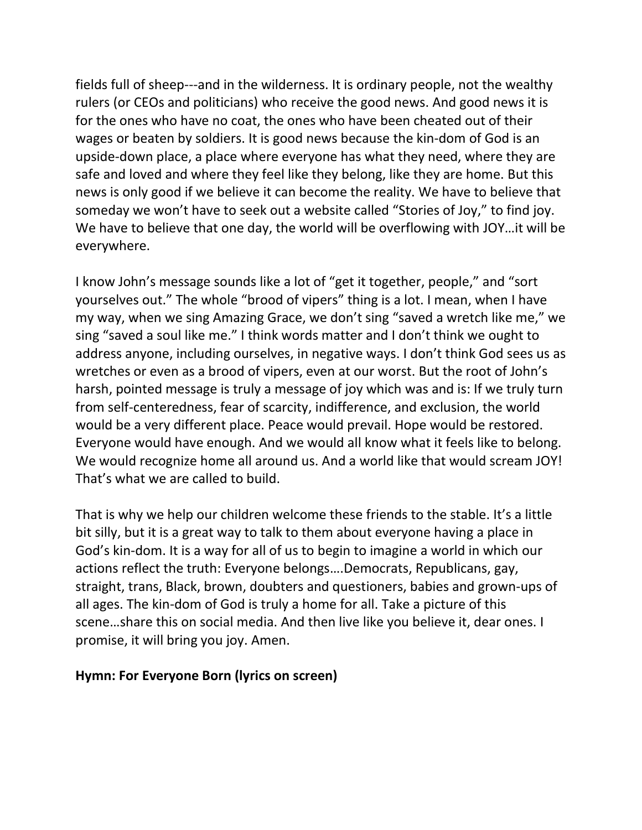fields full of sheep---and in the wilderness. It is ordinary people, not the wealthy rulers (or CEOs and politicians) who receive the good news. And good news it is for the ones who have no coat, the ones who have been cheated out of their wages or beaten by soldiers. It is good news because the kin-dom of God is an upside-down place, a place where everyone has what they need, where they are safe and loved and where they feel like they belong, like they are home. But this news is only good if we believe it can become the reality. We have to believe that someday we won't have to seek out a website called "Stories of Joy," to find joy. We have to believe that one day, the world will be overflowing with JOY…it will be everywhere.

I know John's message sounds like a lot of "get it together, people," and "sort yourselves out." The whole "brood of vipers" thing is a lot. I mean, when I have my way, when we sing Amazing Grace, we don't sing "saved a wretch like me," we sing "saved a soul like me." I think words matter and I don't think we ought to address anyone, including ourselves, in negative ways. I don't think God sees us as wretches or even as a brood of vipers, even at our worst. But the root of John's harsh, pointed message is truly a message of joy which was and is: If we truly turn from self-centeredness, fear of scarcity, indifference, and exclusion, the world would be a very different place. Peace would prevail. Hope would be restored. Everyone would have enough. And we would all know what it feels like to belong. We would recognize home all around us. And a world like that would scream JOY! That's what we are called to build.

That is why we help our children welcome these friends to the stable. It's a little bit silly, but it is a great way to talk to them about everyone having a place in God's kin-dom. It is a way for all of us to begin to imagine a world in which our actions reflect the truth: Everyone belongs….Democrats, Republicans, gay, straight, trans, Black, brown, doubters and questioners, babies and grown-ups of all ages. The kin-dom of God is truly a home for all. Take a picture of this scene…share this on social media. And then live like you believe it, dear ones. I promise, it will bring you joy. Amen.

#### **Hymn: For Everyone Born (lyrics on screen)**